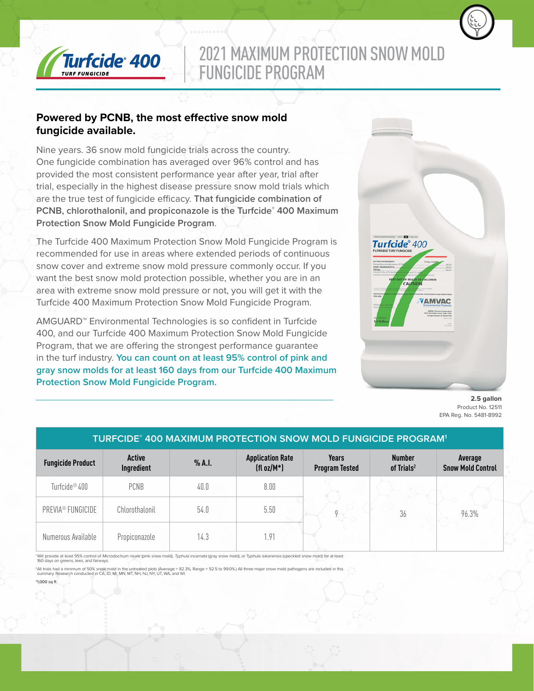

# 2021 MAXIMUM PROTECTION SNOW MOLD FUNGICIDE PROGRAM

### **Powered by PCNB, the most effective snow mold fungicide available.**

Nine years. 36 snow mold fungicide trials across the country. One fungicide combination has averaged over 96% control and has provided the most consistent performance year after year, trial after trial, especially in the highest disease pressure snow mold trials which are the true test of fungicide efficacy. **That fungicide combination of PCNB, chlorothalonil, and propiconazole is the Turfcide® 400 Maximum Protection Snow Mold Fungicide Program**.

The Turfcide 400 Maximum Protection Snow Mold Fungicide Program is recommended for use in areas where extended periods of continuous snow cover and extreme snow mold pressure commonly occur. If you want the best snow mold protection possible, whether you are in an area with extreme snow mold pressure or not, you will get it with the Turfcide 400 Maximum Protection Snow Mold Fungicide Program.

AMGUARD™ Environmental Technologies is so confident in Turfcide 400, and our Turfcide 400 Maximum Protection Snow Mold Fungicide Program, that we are offering the strongest performance guarantee in the turf industry. **You can count on at least 95% control of pink and gray snow molds for at least 160 days from our Turfcide 400 Maximum Protection Snow Mold Fungicide Program.**



**2.5 gallon** Product No. 12511 EPA Reg. No. 5481-8992

| <b>TURFCIDE® 400 MAXIMUM PROTECTION SNOW MOLD FUNGICIDE PROGRAM<sup>1</sup></b> |                      |        |                                          |                                       |                                         |                                     |
|---------------------------------------------------------------------------------|----------------------|--------|------------------------------------------|---------------------------------------|-----------------------------------------|-------------------------------------|
| <b>Fungicide Product</b>                                                        | Active<br>Ingredient | % A.I. | <b>Application Rate</b><br>$(fl oz/M^*)$ | <b>Years</b><br><b>Program Tested</b> | <b>Number</b><br>of Trials <sup>2</sup> | Average<br><b>Snow Mold Control</b> |
| Turfcide <sup>®</sup> 400                                                       | <b>PCNB</b>          | 40.0   | 8.00                                     |                                       |                                         |                                     |
| PREVIA® FUNGICIDE                                                               | Chlorothalonil       | 54.0   | 5.50                                     |                                       | 36                                      | 96.3%                               |
| Numerous Available                                                              | Propiconazole        | 14.3   | .91                                      |                                       |                                         |                                     |

<sup>1</sup>Will provide at least 95% control of Microdochium nivale (pink snow mold), Typhula incarnata (gray snow mold), or Typhula isikariensis (speckled snow mold) for at least 160 days on greens, tees, and fairways.

<sup>2</sup>All trials had a minimum of 50% snow mold in the untreated plots (Average = 82.3%; Range = 52.5 to 99.0%) All three major snow mold pathogens are included in this<br>summary. Research conducted in CA, ID, MI, MN, MT, NH, N

\*1,000 sq ft